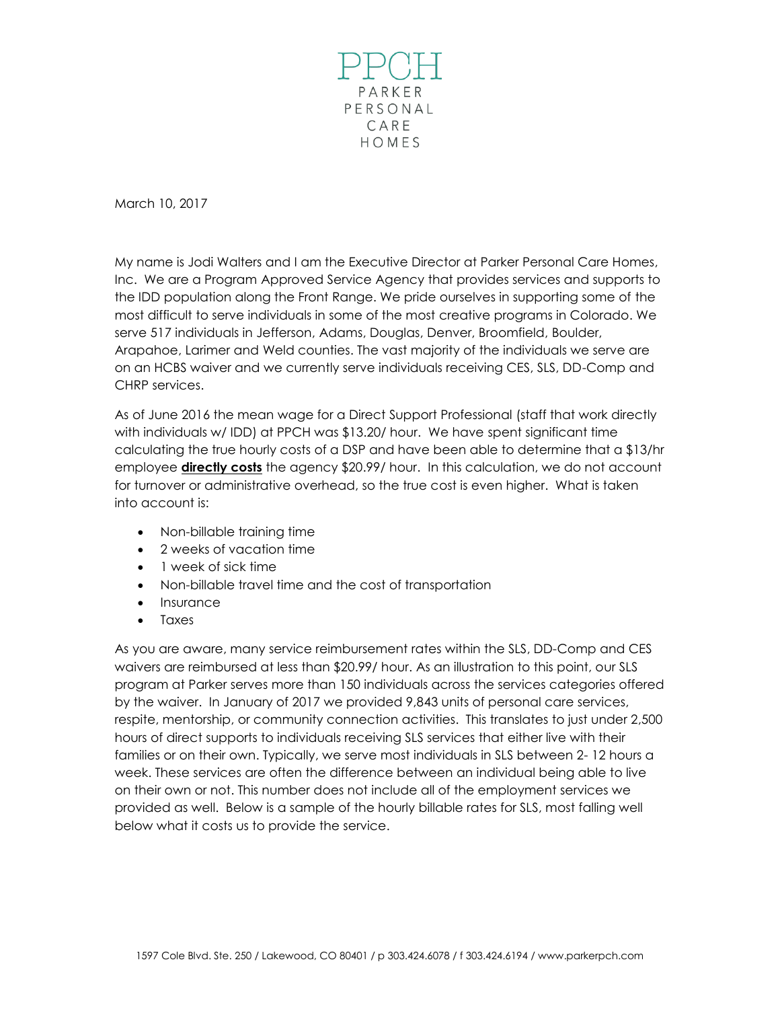

March 10, 2017

My name is Jodi Walters and I am the Executive Director at Parker Personal Care Homes, Inc. We are a Program Approved Service Agency that provides services and supports to the IDD population along the Front Range. We pride ourselves in supporting some of the most difficult to serve individuals in some of the most creative programs in Colorado. We serve 517 individuals in Jefferson, Adams, Douglas, Denver, Broomfield, Boulder, Arapahoe, Larimer and Weld counties. The vast majority of the individuals we serve are on an HCBS waiver and we currently serve individuals receiving CES, SLS, DD-Comp and CHRP services.

As of June 2016 the mean wage for a Direct Support Professional (staff that work directly with individuals w/ IDD) at PPCH was \$13.20/ hour. We have spent significant time calculating the true hourly costs of a DSP and have been able to determine that a \$13/hr employee **directly costs** the agency \$20.99/ hour. In this calculation, we do not account for turnover or administrative overhead, so the true cost is even higher. What is taken into account is:

- Non-billable training time
- 2 weeks of vacation time
- 1 week of sick time
- Non-billable travel time and the cost of transportation
- Insurance
- Taxes

As you are aware, many service reimbursement rates within the SLS, DD-Comp and CES waivers are reimbursed at less than \$20.99/ hour. As an illustration to this point, our SLS program at Parker serves more than 150 individuals across the services categories offered by the waiver. In January of 2017 we provided 9,843 units of personal care services, respite, mentorship, or community connection activities. This translates to just under 2,500 hours of direct supports to individuals receiving SLS services that either live with their families or on their own. Typically, we serve most individuals in SLS between 2- 12 hours a week. These services are often the difference between an individual being able to live on their own or not. This number does not include all of the employment services we provided as well. Below is a sample of the hourly billable rates for SLS, most falling well below what it costs us to provide the service.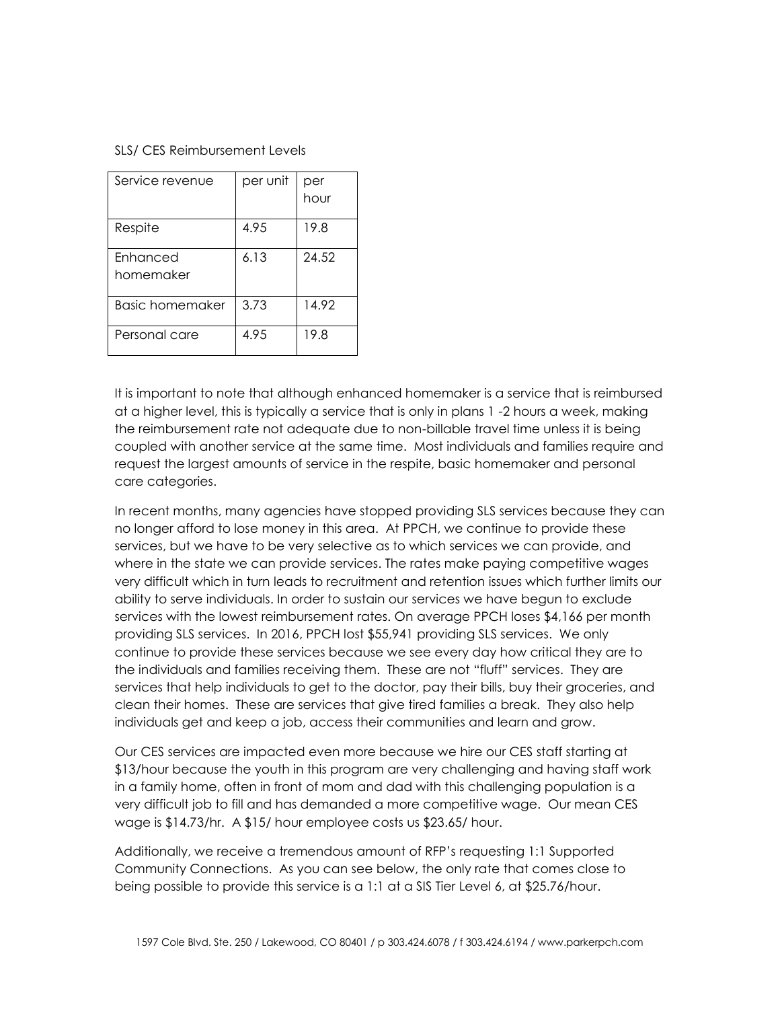## SLS/ CES Reimbursement Levels

| Service revenue              | per unit | per<br>hour |
|------------------------------|----------|-------------|
| Respite                      | 4.95     | 19.8        |
| <b>Enhanced</b><br>homemaker | 6.13     | 24.52       |
| <b>Basic homemaker</b>       | 3.73     | 14.92       |
| Personal care                | 4.95     | 19.8        |

It is important to note that although enhanced homemaker is a service that is reimbursed at a higher level, this is typically a service that is only in plans 1 -2 hours a week, making the reimbursement rate not adequate due to non-billable travel time unless it is being coupled with another service at the same time. Most individuals and families require and request the largest amounts of service in the respite, basic homemaker and personal care categories.

In recent months, many agencies have stopped providing SLS services because they can no longer afford to lose money in this area. At PPCH, we continue to provide these services, but we have to be very selective as to which services we can provide, and where in the state we can provide services. The rates make paying competitive wages very difficult which in turn leads to recruitment and retention issues which further limits our ability to serve individuals. In order to sustain our services we have begun to exclude services with the lowest reimbursement rates. On average PPCH loses \$4,166 per month providing SLS services. In 2016, PPCH lost \$55,941 providing SLS services. We only continue to provide these services because we see every day how critical they are to the individuals and families receiving them. These are not "fluff" services. They are services that help individuals to get to the doctor, pay their bills, buy their groceries, and clean their homes. These are services that give tired families a break. They also help individuals get and keep a job, access their communities and learn and grow.

Our CES services are impacted even more because we hire our CES staff starting at \$13/hour because the youth in this program are very challenging and having staff work in a family home, often in front of mom and dad with this challenging population is a very difficult job to fill and has demanded a more competitive wage. Our mean CES wage is \$14.73/hr. A \$15/ hour employee costs us \$23.65/ hour.

Additionally, we receive a tremendous amount of RFP's requesting 1:1 Supported Community Connections. As you can see below, the only rate that comes close to being possible to provide this service is a 1:1 at a SIS Tier Level 6, at \$25.76/hour.